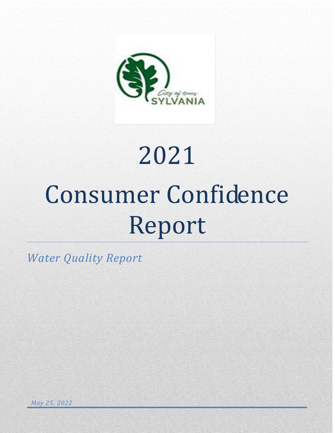

# 2021 Consumer Confidence Report

*Water Quality Report*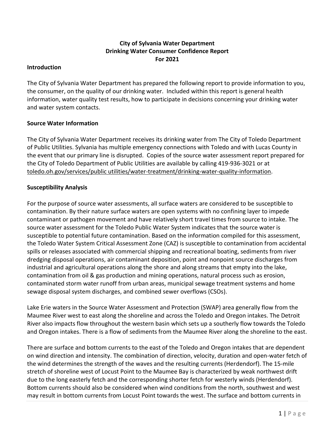# **City of Sylvania Water Department Drinking Water Consumer Confidence Report For 2021**

#### **Introduction**

The City of Sylvania Water Department has prepared the following report to provide information to you, the consumer, on the quality of our drinking water. Included within this report is general health information, water quality test results, how to participate in decisions concerning your drinking water and water system contacts.

#### **Source Water Information**

The City of Sylvania Water Department receives its drinking water from The City of Toledo Department of Public Utilities. Sylvania has multiple emergency connections with Toledo and with Lucas County in the event that our primary line is disrupted. Copies of the source water assessment report prepared for the City of Toledo Department of Public Utilities are available by calling 419-936-3021 or at toledo.oh.gov/services/public utilities/water-treatment/drinking-water-quality-information.

#### **Susceptibility Analysis**

For the purpose of source water assessments, all surface waters are considered to be susceptible to contamination. By their nature surface waters are open systems with no confining layer to impede contaminant or pathogen movement and have relatively short travel times from source to intake. The source water assessment for the Toledo Public Water System indicates that the source water is susceptible to potential future contamination. Based on the information compiled for this assessment, the Toledo Water System Critical Assessment Zone (CAZ) is susceptible to contamination from accidental spills or releases associated with commercial shipping and recreational boating, sediments from river dredging disposal operations, air contaminant deposition, point and nonpoint source discharges from industrial and agricultural operations along the shore and along streams that empty into the lake, contamination from oil & gas production and mining operations, natural process such as erosion, contaminated storm water runoff from urban areas, municipal sewage treatment systems and home sewage disposal system discharges, and combined sewer overflows (CSOs).

Lake Erie waters in the Source Water Assessment and Protection (SWAP) area generally flow from the Maumee River west to east along the shoreline and across the Toledo and Oregon intakes. The Detroit River also impacts flow throughout the western basin which sets up a southerly flow towards the Toledo and Oregon intakes. There is a flow of sediments from the Maumee River along the shoreline to the east.

There are surface and bottom currents to the east of the Toledo and Oregon intakes that are dependent on wind direction and intensity. The combination of direction, velocity, duration and open-water fetch of the wind determines the strength of the waves and the resulting currents (Herdendorf). The 15-mile stretch of shoreline west of Locust Point to the Maumee Bay is characterized by weak northwest drift due to the long easterly fetch and the corresponding shorter fetch for westerly winds (Herdendorf). Bottom currents should also be considered when wind conditions from the north, southwest and west may result in bottom currents from Locust Point towards the west. The surface and bottom currents in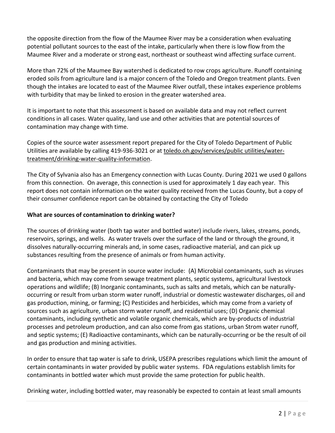the opposite direction from the flow of the Maumee River may be a consideration when evaluating potential pollutant sources to the east of the intake, particularly when there is low flow from the Maumee River and a moderate or strong east, northeast or southeast wind affecting surface current.

More than 72% of the Maumee Bay watershed is dedicated to row crops agriculture. Runoff containing eroded soils from agriculture land is a major concern of the Toledo and Oregon treatment plants. Even though the intakes are located to east of the Maumee River outfall, these intakes experience problems with turbidity that may be linked to erosion in the greater watershed area.

It is important to note that this assessment is based on available data and may not reflect current conditions in all cases. Water quality, land use and other activities that are potential sources of contamination may change with time.

Copies of the source water assessment report prepared for the City of Toledo Department of Public Utilities are available by calling 419-936-3021 or at toledo.oh.gov/services/public utilities/watertreatment/drinking-water-quality-information.

The City of Sylvania also has an Emergency connection with Lucas County. During 2021 we used 0 gallons from this connection. On average, this connection is used for approximately 1 day each year. This report does not contain information on the water quality received from the Lucas County, but a copy of their consumer confidence report can be obtained by contacting the City of Toledo

# **What are sources of contamination to drinking water?**

The sources of drinking water (both tap water and bottled water) include rivers, lakes, streams, ponds, reservoirs, springs, and wells. As water travels over the surface of the land or through the ground, it dissolves naturally-occurring minerals and, in some cases, radioactive material, and can pick up substances resulting from the presence of animals or from human activity.

Contaminants that may be present in source water include: (A) Microbial contaminants, such as viruses and bacteria, which may come from sewage treatment plants, septic systems, agricultural livestock operations and wildlife; (B) Inorganic contaminants, such as salts and metals, which can be naturallyoccurring or result from urban storm water runoff, industrial or domestic wastewater discharges, oil and gas production, mining, or farming; (C) Pesticides and herbicides, which may come from a variety of sources such as agriculture, urban storm water runoff, and residential uses; (D) Organic chemical contaminants, including synthetic and volatile organic chemicals, which are by-products of industrial processes and petroleum production, and can also come from gas stations, urban Strom water runoff, and septic systems; (E) Radioactive contaminants, which can be naturally-occurring or be the result of oil and gas production and mining activities.

In order to ensure that tap water is safe to drink, USEPA prescribes regulations which limit the amount of certain contaminants in water provided by public water systems. FDA regulations establish limits for contaminants in bottled water which must provide the same protection for public health.

Drinking water, including bottled water, may reasonably be expected to contain at least small amounts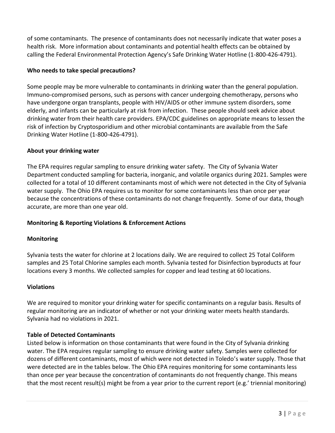of some contaminants. The presence of contaminants does not necessarily indicate that water poses a health risk. More information about contaminants and potential health effects can be obtained by calling the Federal Environmental Protection Agency's Safe Drinking Water Hotline (1-800-426-4791).

# **Who needs to take special precautions?**

Some people may be more vulnerable to contaminants in drinking water than the general population. Immuno-compromised persons, such as persons with cancer undergoing chemotherapy, persons who have undergone organ transplants, people with HIV/AIDS or other immune system disorders, some elderly, and infants can be particularly at risk from infection. These people should seek advice about drinking water from their health care providers. EPA/CDC guidelines on appropriate means to lessen the risk of infection by Cryptosporidium and other microbial contaminants are available from the Safe Drinking Water Hotline (1-800-426-4791).

# **About your drinking water**

The EPA requires regular sampling to ensure drinking water safety. The City of Sylvania Water Department conducted sampling for bacteria, inorganic, and volatile organics during 2021. Samples were collected for a total of 10 different contaminants most of which were not detected in the City of Sylvania water supply. The Ohio EPA requires us to monitor for some contaminants less than once per year because the concentrations of these contaminants do not change frequently. Some of our data, though accurate, are more than one year old.

## **Monitoring & Reporting Violations & Enforcement Actions**

## **Monitoring**

Sylvania tests the water for chlorine at 2 locations daily. We are required to collect 25 Total Coliform samples and 25 Total Chlorine samples each month. Sylvania tested for Disinfection byproducts at four locations every 3 months. We collected samples for copper and lead testing at 60 locations.

## **Violations**

We are required to monitor your drinking water for specific contaminants on a regular basis. Results of regular monitoring are an indicator of whether or not your drinking water meets health standards. Sylvania had no violations in 2021.

## **Table of Detected Contaminants**

Listed below is information on those contaminants that were found in the City of Sylvania drinking water. The EPA requires regular sampling to ensure drinking water safety. Samples were collected for dozens of different contaminants, most of which were not detected in Toledo's water supply. Those that were detected are in the tables below. The Ohio EPA requires monitoring for some contaminants less than once per year because the concentration of contaminants do not frequently change. This means that the most recent result(s) might be from a year prior to the current report (e.g.' triennial monitoring)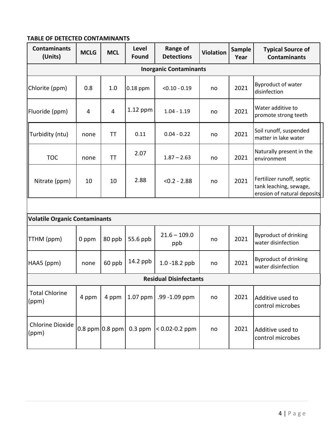#### **TABLE OF DETECTED CONTAMINANTS**

| <b>Contaminants</b><br>(Units)       | <b>MCLG</b> | <b>MCL</b>          | Level<br><b>Found</b> | <b>Range of</b><br><b>Detections</b> | <b>Violation</b> | <b>Sample</b><br>Year | <b>Typical Source of</b><br><b>Contaminants</b>                                    |  |
|--------------------------------------|-------------|---------------------|-----------------------|--------------------------------------|------------------|-----------------------|------------------------------------------------------------------------------------|--|
| <b>Inorganic Contaminants</b>        |             |                     |                       |                                      |                  |                       |                                                                                    |  |
| Chlorite (ppm)                       | 0.8         | 1.0                 | $0.18$ ppm            | $< 0.10 - 0.19$                      | no               | 2021                  | Byproduct of water<br>disinfection                                                 |  |
| Fluoride (ppm)                       | 4           | 4                   | $1.12$ ppm            | $1.04 - 1.19$                        | no               | 2021                  | Water additive to<br>promote strong teeth                                          |  |
| Turbidity (ntu)                      | none        | TT                  | 0.11                  | $0.04 - 0.22$                        | no               | 2021                  | Soil runoff, suspended<br>matter in lake water                                     |  |
| <b>TOC</b>                           | none        | <b>TT</b>           | 2.07                  | $1.87 - 2.63$                        | no               | 2021                  | Naturally present in the<br>environment                                            |  |
| Nitrate (ppm)                        | 10          | 10                  | 2.88                  | $< 0.2 - 2.88$                       | no               | 2021                  | Fertilizer runoff, septic<br>tank leaching, sewage,<br>erosion of natural deposits |  |
|                                      |             |                     |                       |                                      |                  |                       |                                                                                    |  |
| <b>Volatile Organic Contaminants</b> |             |                     |                       |                                      |                  |                       |                                                                                    |  |
| TTHM (ppm)                           | 0 ppm       | 80 ppb              | 55.6 ppb              | $21.6 - 109.0$<br>ppb                | no               | 2021                  | <b>Byproduct of drinking</b><br>water disinfection                                 |  |
| HAA5 (ppm)                           | none        | 60 ppb              | 14.2 ppb              | 1.0 -18.2 ppb                        | no               | 2021                  | <b>Byproduct of drinking</b><br>water disinfection                                 |  |
| <b>Residual Disinfectants</b>        |             |                     |                       |                                      |                  |                       |                                                                                    |  |
| <b>Total Chlorine</b><br>(ppm)       | 4 ppm       | 4 ppm               |                       | 1.07 ppm $\vert$ .99 -1.09 ppm       | no               | 2021                  | Additive used to<br>control microbes                                               |  |
| <b>Chlorine Dioxide</b><br>(ppm)     |             | $0.8$ ppm $0.8$ ppm |                       | 0.3 ppm $\vert$ < 0.02-0.2 ppm       | no               | 2021                  | Additive used to<br>control microbes                                               |  |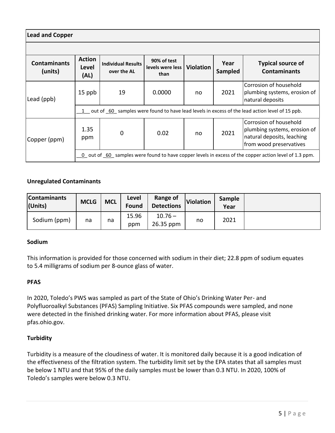| <b>Lead and Copper</b>         |                                                                                                       |                                          |                                         |                  |                 |                                                                                                                 |  |  |
|--------------------------------|-------------------------------------------------------------------------------------------------------|------------------------------------------|-----------------------------------------|------------------|-----------------|-----------------------------------------------------------------------------------------------------------------|--|--|
|                                |                                                                                                       |                                          |                                         |                  |                 |                                                                                                                 |  |  |
| <b>Contaminants</b><br>(units) | <b>Action</b><br>Level<br>(AL)                                                                        | <b>Individual Results</b><br>over the AL | 90% of test<br>levels were less<br>than | <b>Violation</b> | Year<br>Sampled | <b>Typical source of</b><br><b>Contaminants</b>                                                                 |  |  |
| Lead (ppb)                     | 15 ppb                                                                                                | 19                                       | 0.0000                                  | no               | 2021            | Corrosion of household<br>plumbing systems, erosion of<br>natural deposits                                      |  |  |
|                                | 1 out of 60 samples were found to have lead levels in excess of the lead action level of 15 ppb.      |                                          |                                         |                  |                 |                                                                                                                 |  |  |
| Copper (ppm)                   | 1.35<br>ppm                                                                                           | 0                                        | 0.02                                    | no               | 2021            | Corrosion of household<br>plumbing systems, erosion of<br>natural deposits, leaching<br>from wood preservatives |  |  |
|                                | 0 out of 60 samples were found to have copper levels in excess of the copper action level of 1.3 ppm. |                                          |                                         |                  |                 |                                                                                                                 |  |  |

## **Unregulated Contaminants**

| <b>Contaminants</b><br>(Units) | <b>MCLG</b> | <b>MCL</b> | Level<br><b>Found</b> | Range of<br><b>Detections</b> | Violation | <b>Sample</b><br>Year |  |
|--------------------------------|-------------|------------|-----------------------|-------------------------------|-----------|-----------------------|--|
| Sodium (ppm)                   | na          | na         | 15.96<br>ppm          | $10.76 -$<br>26.35 ppm        | no        | 2021                  |  |

#### **Sodium**

This information is provided for those concerned with sodium in their diet; 22.8 ppm of sodium equates to 5.4 milligrams of sodium per 8-ounce glass of water.

#### **PFAS**

In 2020, Toledo's PWS was sampled as part of the State of Ohio's Drinking Water Per- and Polyfluoroalkyl Substances (PFAS) Sampling Initiative. Six PFAS compounds were sampled, and none were detected in the finished drinking water. For more information about PFAS, please visit pfas.ohio.gov.

## **Turbidity**

Turbidity is a measure of the cloudiness of water. It is monitored daily because it is a good indication of the effectiveness of the filtration system. The turbidity limit set by the EPA states that all samples must be below 1 NTU and that 95% of the daily samples must be lower than 0.3 NTU. In 2020, 100% of Toledo's samples were below 0.3 NTU.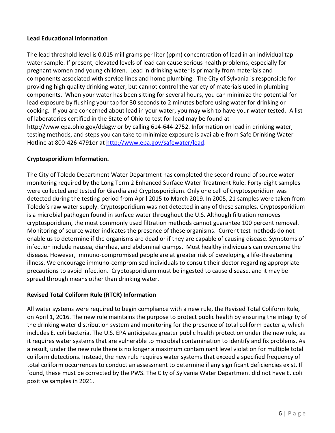#### **Lead Educational Information**

The lead threshold level is 0.015 milligrams per liter (ppm) concentration of lead in an individual tap water sample. If present, elevated levels of lead can cause serious health problems, especially for pregnant women and young children. Lead in drinking water is primarily from materials and components associated with service lines and home plumbing. The City of Sylvania is responsible for providing high quality drinking water, but cannot control the variety of materials used in plumbing components. When your water has been sitting for several hours, you can minimize the potential for lead exposure by flushing your tap for 30 seconds to 2 minutes before using water for drinking or cooking. If you are concerned about lead in your water, you may wish to have your water tested. A list of laboratories certified in the State of Ohio to test for lead may be found at [http://www.epa.ohio.gov/ddagw or by calling 614-644-2752.](http://www.epa.ohio.gov/ddagw%20or%20by%20calling%20614-644-2752) Information on lead in drinking water, testing methods, and steps you can take to minimize exposure is available from Safe Drinking Water Hotline at 800-426-4791or at [http://www.epa.gov/safewater/lead.](http://www.epa.gov/safewater/lead)

#### **Cryptosporidium Information.**

The City of Toledo Department Water Department has completed the second round of source water monitoring required by the Long Term 2 Enhanced Surface Water Treatment Rule. Forty-eight samples were collected and tested for Giardia and Cryptosporidium. Only one cell of Cryptosporidium was detected during the testing period from April 2015 to March 2019. In 2005, 21 samples were taken from Toledo's raw water supply. Cryptosporidium was not detected in any of these samples. Cryptosporidium is a microbial pathogen found in surface water throughout the U.S. Although filtration removes cryptosporidium, the most commonly used filtration methods cannot guarantee 100 percent removal. Monitoring of source water indicates the presence of these organisms. Current test methods do not enable us to determine if the organisms are dead or if they are capable of causing disease. Symptoms of infection include nausea, diarrhea, and abdominal cramps. Most healthy individuals can overcome the disease. However, immuno-compromised people are at greater risk of developing a life-threatening illness. We encourage immuno-compromised individuals to consult their doctor regarding appropriate precautions to avoid infection. Cryptosporidium must be ingested to cause disease, and it may be spread through means other than drinking water.

## **Revised Total Coliform Rule (RTCR) Information**

All water systems were required to begin compliance with a new rule, the Revised Total Coliform Rule, on April 1, 2016. The new rule maintains the purpose to protect public health by ensuring the integrity of the drinking water distribution system and monitoring for the presence of total coliform bacteria, which includes E. coli bacteria. The U.S. EPA anticipates greater public health protection under the new rule, as it requires water systems that are vulnerable to microbial contamination to identify and fix problems. As a result, under the new rule there is no longer a maximum contaminant level violation for multiple total coliform detections. Instead, the new rule requires water systems that exceed a specified frequency of total coliform occurrences to conduct an assessment to determine if any significant deficiencies exist. If found, these must be corrected by the PWS. The City of Sylvania Water Department did not have E. coli positive samples in 2021.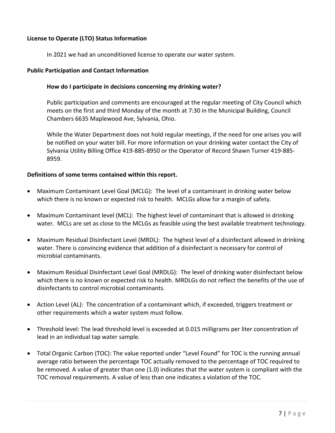#### **License to Operate (LTO) Status Information**

In 2021 we had an unconditioned license to operate our water system.

#### **Public Participation and Contact Information**

#### **How do I participate in decisions concerning my drinking water?**

Public participation and comments are encouraged at the regular meeting of City Council which meets on the first and third Monday of the month at 7:30 in the Municipal Building, Council Chambers 6635 Maplewood Ave, Sylvania, Ohio.

While the Water Department does not hold regular meetings, if the need for one arises you will be notified on your water bill. For more information on your drinking water contact the City of Sylvania Utility Billing Office 419-885-8950 or the Operator of Record Shawn Turner 419-885- 8959.

#### **Definitions of some terms contained within this report.**

- Maximum Contaminant Level Goal (MCLG): The level of a contaminant in drinking water below which there is no known or expected risk to health. MCLGs allow for a margin of safety.
- Maximum Contaminant level (MCL): The highest level of contaminant that is allowed in drinking water. MCLs are set as close to the MCLGs as feasible using the best available treatment technology.
- Maximum Residual Disinfectant Level (MRDL): The highest level of a disinfectant allowed in drinking water. There is convincing evidence that addition of a disinfectant is necessary for control of microbial contaminants.
- Maximum Residual Disinfectant Level Goal (MRDLG): The level of drinking water disinfectant below which there is no known or expected risk to health. MRDLGs do not reflect the benefits of the use of disinfectants to control microbial contaminants.
- Action Level (AL): The concentration of a contaminant which, if exceeded, triggers treatment or other requirements which a water system must follow.
- Threshold level: The lead threshold level is exceeded at 0.015 milligrams per liter concentration of lead in an individual tap water sample.
- Total Organic Carbon (TOC): The value reported under "Level Found" for TOC is the running annual average ratio between the percentage TOC actually removed to the percentage of TOC required to be removed. A value of greater than one (1.0) indicates that the water system is compliant with the TOC removal requirements. A value of less than one indicates a violation of the TOC.